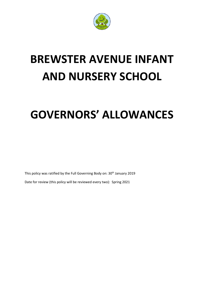

## **BREWSTER AVENUE INFANT AND NURSERY SCHOOL**

## **GOVERNORS' ALLOWANCES**

This policy was ratified by the Full Governing Body on: 30<sup>th</sup> January 2019

Date for review (this policy will be reviewed every two): Spring 2021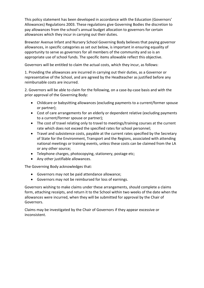This policy statement has been developed in accordance with the Education (Governors' Allowances) Regulations 2003. These regulations give Governing Bodies the discretion to pay allowances from the school's annual budget allocation to governors for certain allowances which they incur in carrying out their duties.

Brewster Avenue Infant and Nursery School Governing Body believes that paying governor allowances, in specific categories as set out below, is important in ensuring equality of opportunity to serve as governors for all members of the community and so is an appropriate use of school funds. The specific items allowable reflect this objective.

Governors will be entitled to claim the actual costs, which they incur, as follows:

1. Providing the allowances are incurred in carrying out their duties, as a Governor or representative of the School, and are agreed by the Headteacher as justified before any reimbursable costs are incurred.

2. Governors will be able to claim for the following, on a case-by-case basis and with the prior approval of the Governing Body:

- Childcare or babysitting allowances (excluding payments to a current/former spouse or partner);
- Cost of care arrangements for an elderly or dependent relative (excluding payments to a current/former spouse or partner);
- The cost of travel relating only to travel to meetings/training courses at the current rate which does not exceed the specified rates for school personnel;
- Travel and subsistence costs, payable at the current rates specified by the Secretary of State for the Environment, Transport and the Regions, associated with attending national meetings or training events, unless these costs can be claimed from the LA or any other source;
- Telephone charges, photocopying, stationery, postage etc;
- Any other justifiable allowances.

The Governing Body acknowledges that:

- Governors may not be paid attendance allowance;
- Governors may not be reimbursed for loss of earnings.

Governors wishing to make claims under these arrangements, should complete a claims form, attaching receipts, and return it to the School within two weeks of the date when the allowances were incurred, when they will be submitted for approval by the Chair of Governors.

Claims may be investigated by the Chair of Governors if they appear excessive or inconsistent.